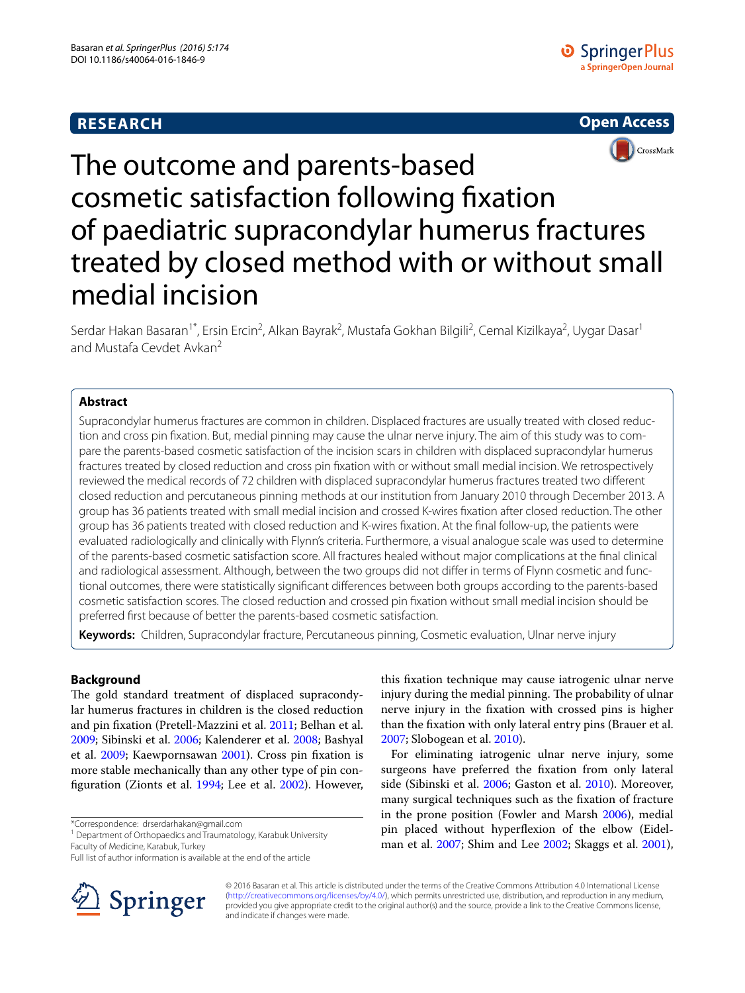# **RESEARCH**





Serdar Hakan Basaran<sup>1\*</sup>, Ersin Ercin<sup>2</sup>, Alkan Bayrak<sup>2</sup>, Mustafa Gokhan Bilgili<sup>2</sup>, Cemal Kizilkaya<sup>2</sup>, Uygar Dasar<sup>1</sup> and Mustafa Cevdet Avkan<sup>2</sup>

# **Abstract**

Supracondylar humerus fractures are common in children. Displaced fractures are usually treated with closed reduction and cross pin fixation. But, medial pinning may cause the ulnar nerve injury. The aim of this study was to compare the parents-based cosmetic satisfaction of the incision scars in children with displaced supracondylar humerus fractures treated by closed reduction and cross pin fixation with or without small medial incision. We retrospectively reviewed the medical records of 72 children with displaced supracondylar humerus fractures treated two different closed reduction and percutaneous pinning methods at our institution from January 2010 through December 2013. A group has 36 patients treated with small medial incision and crossed K-wires fixation after closed reduction. The other group has 36 patients treated with closed reduction and K-wires fixation. At the final follow-up, the patients were evaluated radiologically and clinically with Flynn's criteria. Furthermore, a visual analogue scale was used to determine of the parents-based cosmetic satisfaction score. All fractures healed without major complications at the final clinical and radiological assessment. Although, between the two groups did not differ in terms of Flynn cosmetic and functional outcomes, there were statistically significant differences between both groups according to the parents-based cosmetic satisfaction scores. The closed reduction and crossed pin fixation without small medial incision should be preferred first because of better the parents-based cosmetic satisfaction.

**Keywords:** Children, Supracondylar fracture, Percutaneous pinning, Cosmetic evaluation, Ulnar nerve injury

# **Background**

The gold standard treatment of displaced supracondylar humerus fractures in children is the closed reduction and pin fixation (Pretell-Mazzini et al. [2011](#page-4-0); Belhan et al. [2009](#page-3-0); Sibinski et al. [2006;](#page-4-1) Kalenderer et al. [2008](#page-4-2); Bashyal et al. [2009](#page-3-1); Kaewpornsawan [2001\)](#page-4-3). Cross pin fixation is more stable mechanically than any other type of pin configuration (Zionts et al. [1994;](#page-4-4) Lee et al. [2002](#page-4-5)). However,

\*Correspondence: drserdarhakan@gmail.com

<sup>1</sup> Department of Orthopaedics and Traumatology, Karabuk University Faculty of Medicine, Karabuk, Turkey

Full list of author information is available at the end of the article



this fixation technique may cause iatrogenic ulnar nerve injury during the medial pinning. The probability of ulnar nerve injury in the fixation with crossed pins is higher than the fixation with only lateral entry pins (Brauer et al. [2007](#page-3-2); Slobogean et al. [2010\)](#page-4-6).

For eliminating iatrogenic ulnar nerve injury, some surgeons have preferred the fixation from only lateral side (Sibinski et al. [2006](#page-4-1); Gaston et al. [2010\)](#page-4-7). Moreover, many surgical techniques such as the fixation of fracture in the prone position (Fowler and Marsh [2006\)](#page-4-8), medial pin placed without hyperflexion of the elbow (Eidelman et al. [2007;](#page-4-9) Shim and Lee [2002](#page-4-10); Skaggs et al. [2001](#page-4-11)),

© 2016 Basaran et al. This article is distributed under the terms of the Creative Commons Attribution 4.0 International License [\(http://creativecommons.org/licenses/by/4.0/\)](http://creativecommons.org/licenses/by/4.0/), which permits unrestricted use, distribution, and reproduction in any medium, provided you give appropriate credit to the original author(s) and the source, provide a link to the Creative Commons license, and indicate if changes were made.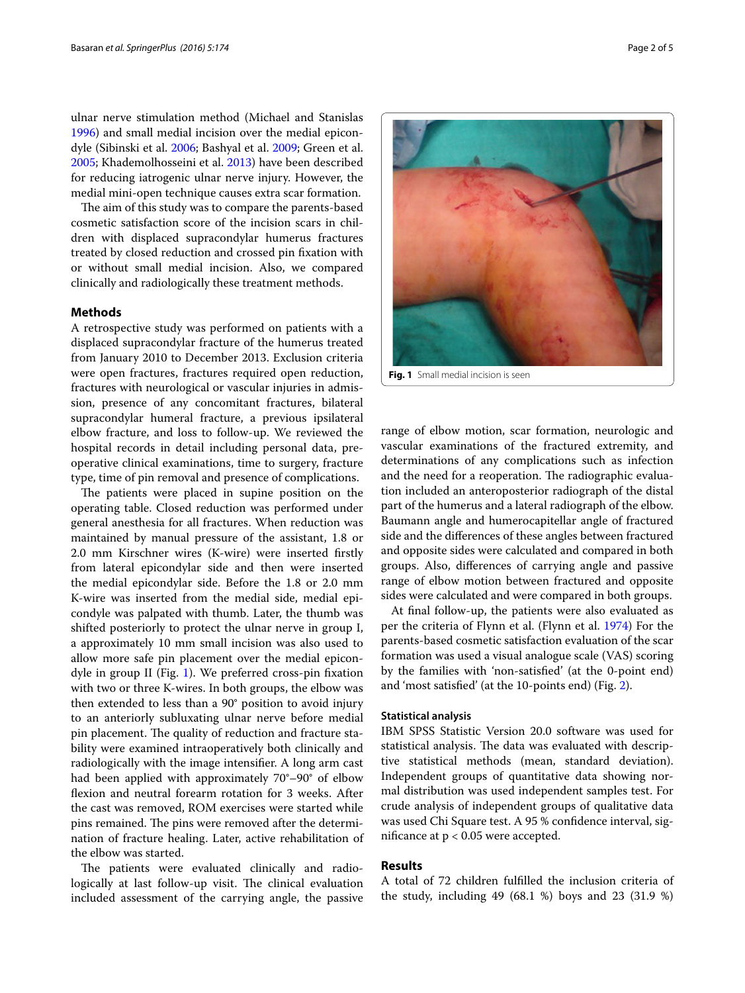ulnar nerve stimulation method (Michael and Stanislas [1996](#page-4-12)) and small medial incision over the medial epicondyle (Sibinski et al. [2006;](#page-4-1) Bashyal et al. [2009;](#page-3-1) Green et al. [2005](#page-4-13); Khademolhosseini et al. [2013](#page-4-14)) have been described for reducing iatrogenic ulnar nerve injury. However, the medial mini-open technique causes extra scar formation.

The aim of this study was to compare the parents-based cosmetic satisfaction score of the incision scars in children with displaced supracondylar humerus fractures treated by closed reduction and crossed pin fixation with or without small medial incision. Also, we compared clinically and radiologically these treatment methods.

### **Methods**

A retrospective study was performed on patients with a displaced supracondylar fracture of the humerus treated from January 2010 to December 2013. Exclusion criteria were open fractures, fractures required open reduction, fractures with neurological or vascular injuries in admission, presence of any concomitant fractures, bilateral supracondylar humeral fracture, a previous ipsilateral elbow fracture, and loss to follow-up. We reviewed the hospital records in detail including personal data, preoperative clinical examinations, time to surgery, fracture type, time of pin removal and presence of complications.

The patients were placed in supine position on the operating table. Closed reduction was performed under general anesthesia for all fractures. When reduction was maintained by manual pressure of the assistant, 1.8 or 2.0 mm Kirschner wires (K-wire) were inserted firstly from lateral epicondylar side and then were inserted the medial epicondylar side. Before the 1.8 or 2.0 mm K-wire was inserted from the medial side, medial epicondyle was palpated with thumb. Later, the thumb was shifted posteriorly to protect the ulnar nerve in group I, a approximately 10 mm small incision was also used to allow more safe pin placement over the medial epicondyle in group II (Fig. [1](#page-1-0)). We preferred cross-pin fixation with two or three K-wires. In both groups, the elbow was then extended to less than a 90° position to avoid injury to an anteriorly subluxating ulnar nerve before medial pin placement. The quality of reduction and fracture stability were examined intraoperatively both clinically and radiologically with the image intensifier. A long arm cast had been applied with approximately 70°–90° of elbow flexion and neutral forearm rotation for 3 weeks. After the cast was removed, ROM exercises were started while pins remained. The pins were removed after the determination of fracture healing. Later, active rehabilitation of the elbow was started.

The patients were evaluated clinically and radiologically at last follow-up visit. The clinical evaluation included assessment of the carrying angle, the passive



<span id="page-1-0"></span>range of elbow motion, scar formation, neurologic and vascular examinations of the fractured extremity, and determinations of any complications such as infection and the need for a reoperation. The radiographic evaluation included an anteroposterior radiograph of the distal part of the humerus and a lateral radiograph of the elbow. Baumann angle and humerocapitellar angle of fractured side and the differences of these angles between fractured and opposite sides were calculated and compared in both groups. Also, differences of carrying angle and passive range of elbow motion between fractured and opposite sides were calculated and were compared in both groups.

At final follow-up, the patients were also evaluated as per the criteria of Flynn et al. (Flynn et al. [1974\)](#page-4-15) For the parents-based cosmetic satisfaction evaluation of the scar formation was used a visual analogue scale (VAS) scoring by the families with 'non-satisfied' (at the 0-point end) and 'most satisfied' (at the 10-points end) (Fig. [2](#page-2-0)).

### **Statistical analysis**

IBM SPSS Statistic Version 20.0 software was used for statistical analysis. The data was evaluated with descriptive statistical methods (mean, standard deviation). Independent groups of quantitative data showing normal distribution was used independent samples test. For crude analysis of independent groups of qualitative data was used Chi Square test. A 95 % confidence interval, significance at p < 0.05 were accepted.

## **Results**

A total of 72 children fulfilled the inclusion criteria of the study, including 49 (68.1 %) boys and 23 (31.9 %)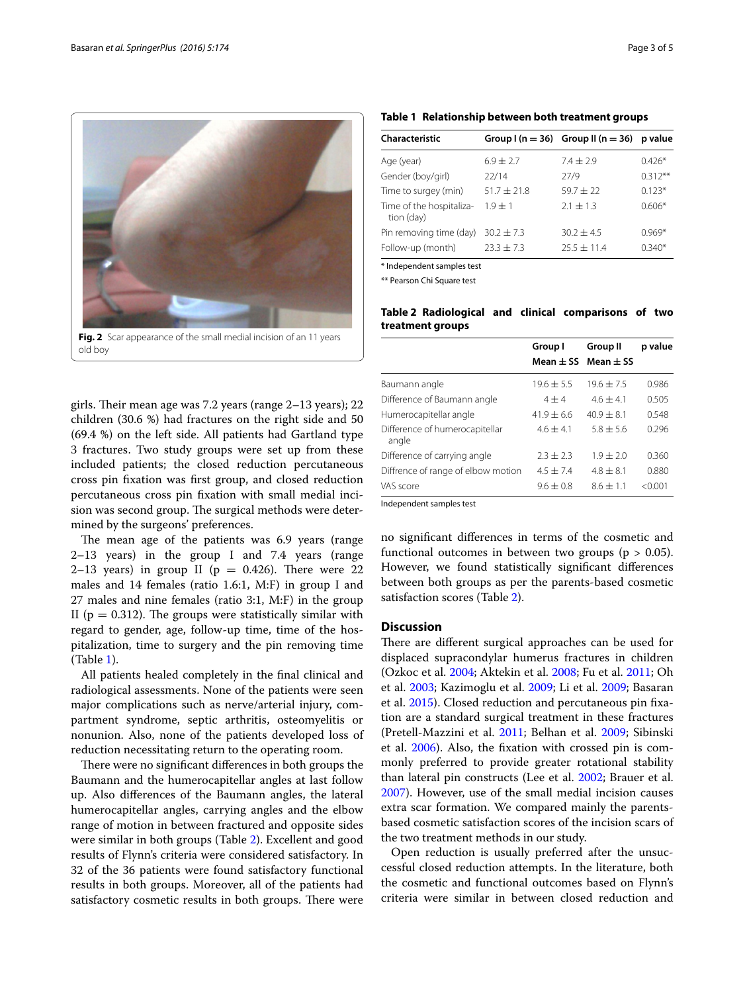

<span id="page-2-0"></span>girls. Their mean age was 7.2 years (range 2–13 years); 22 children (30.6 %) had fractures on the right side and 50 (69.4 %) on the left side. All patients had Gartland type 3 fractures. Two study groups were set up from these included patients; the closed reduction percutaneous cross pin fixation was first group, and closed reduction percutaneous cross pin fixation with small medial incision was second group. The surgical methods were determined by the surgeons' preferences.

The mean age of the patients was 6.9 years (range 2–13 years) in the group I and 7.4 years (range 2–13 years) in group II ( $p = 0.426$ ). There were 22 males and 14 females (ratio 1.6:1, M:F) in group I and 27 males and nine females (ratio 3:1, M:F) in the group II ( $p = 0.312$ ). The groups were statistically similar with regard to gender, age, follow-up time, time of the hospitalization, time to surgery and the pin removing time (Table [1](#page-2-1)).

All patients healed completely in the final clinical and radiological assessments. None of the patients were seen major complications such as nerve/arterial injury, compartment syndrome, septic arthritis, osteomyelitis or nonunion. Also, none of the patients developed loss of reduction necessitating return to the operating room.

There were no significant differences in both groups the Baumann and the humerocapitellar angles at last follow up. Also differences of the Baumann angles, the lateral humerocapitellar angles, carrying angles and the elbow range of motion in between fractured and opposite sides were similar in both groups (Table [2\)](#page-2-2). Excellent and good results of Flynn's criteria were considered satisfactory. In 32 of the 36 patients were found satisfactory functional results in both groups. Moreover, all of the patients had satisfactory cosmetic results in both groups. There were

<span id="page-2-1"></span>

| Characteristic                         |                 | Group $\lfloor (n = 36) \rfloor$ Group $\lfloor (n = 36) \rfloor$ | p value   |
|----------------------------------------|-----------------|-------------------------------------------------------------------|-----------|
| Age (year)                             | $6.9 \pm 2.7$   | $7.4 + 2.9$                                                       | $0.426*$  |
| Gender (boy/girl)                      | 22/14           | 27/9                                                              | $0.312**$ |
| Time to surgey (min)                   | $51.7 \pm 21.8$ | $59.7 + 22$                                                       | $0.123*$  |
| Time of the hospitaliza-<br>tion (day) | $1.9 + 1$       | $2.1 + 1.3$                                                       | $0.606*$  |
| Pin removing time (day)                | $30.2 \pm 7.3$  | $30.2 + 4.5$                                                      | $0.969*$  |
| Follow-up (month)                      | $23.3 \pm 7.3$  | $25.5 \pm 11.4$                                                   | $0.340*$  |
|                                        |                 |                                                                   |           |

\* Independent samples test

\*\* Pearson Chi Square test

<span id="page-2-2"></span>**Table 2 Radiological and clinical comparisons of two treatment groups**

|                                         | Group I<br>Mean $\pm$ SS | Group II<br>Mean $\pm$ SS | p value |
|-----------------------------------------|--------------------------|---------------------------|---------|
| Baumann angle                           | $19.6 + 5.5$             | $19.6 + 7.5$              | 0.986   |
| Difference of Baumann angle             | $4 + 4$                  | $4.6 + 4.1$               | 0.505   |
| Humerocapitellar angle                  | $41.9 + 6.6$             | $40.9 + 8.1$              | 0.548   |
| Difference of humerocapitellar<br>angle | $4.6 + 4.1$              | $5.8 + 5.6$               | 0.296   |
| Difference of carrying angle            | $2.3 + 2.3$              | $1.9 + 2.0$               | 0.360   |
| Diffrence of range of elbow motion      | $4.5 + 7.4$              | $4.8 + 8.1$               | 0.880   |
| VAS score                               | $9.6 + 0.8$              | $8.6 + 1.1$               | < 0.001 |

Independent samples test

no significant differences in terms of the cosmetic and functional outcomes in between two groups ( $p > 0.05$ ). However, we found statistically significant differences between both groups as per the parents-based cosmetic satisfaction scores (Table [2\)](#page-2-2).

# **Discussion**

There are different surgical approaches can be used for displaced supracondylar humerus fractures in children (Ozkoc et al. [2004](#page-4-16); Aktekin et al. [2008](#page-3-3); Fu et al. [2011;](#page-4-17) Oh et al. [2003](#page-4-18); Kazimoglu et al. [2009](#page-4-19); Li et al. [2009;](#page-4-20) Basaran et al. [2015\)](#page-3-4). Closed reduction and percutaneous pin fixation are a standard surgical treatment in these fractures (Pretell-Mazzini et al. [2011;](#page-4-0) Belhan et al. [2009;](#page-3-0) Sibinski et al. [2006\)](#page-4-1). Also, the fixation with crossed pin is commonly preferred to provide greater rotational stability than lateral pin constructs (Lee et al. [2002](#page-4-5); Brauer et al. [2007](#page-3-2)). However, use of the small medial incision causes extra scar formation. We compared mainly the parentsbased cosmetic satisfaction scores of the incision scars of the two treatment methods in our study.

Open reduction is usually preferred after the unsuccessful closed reduction attempts. In the literature, both the cosmetic and functional outcomes based on Flynn's criteria were similar in between closed reduction and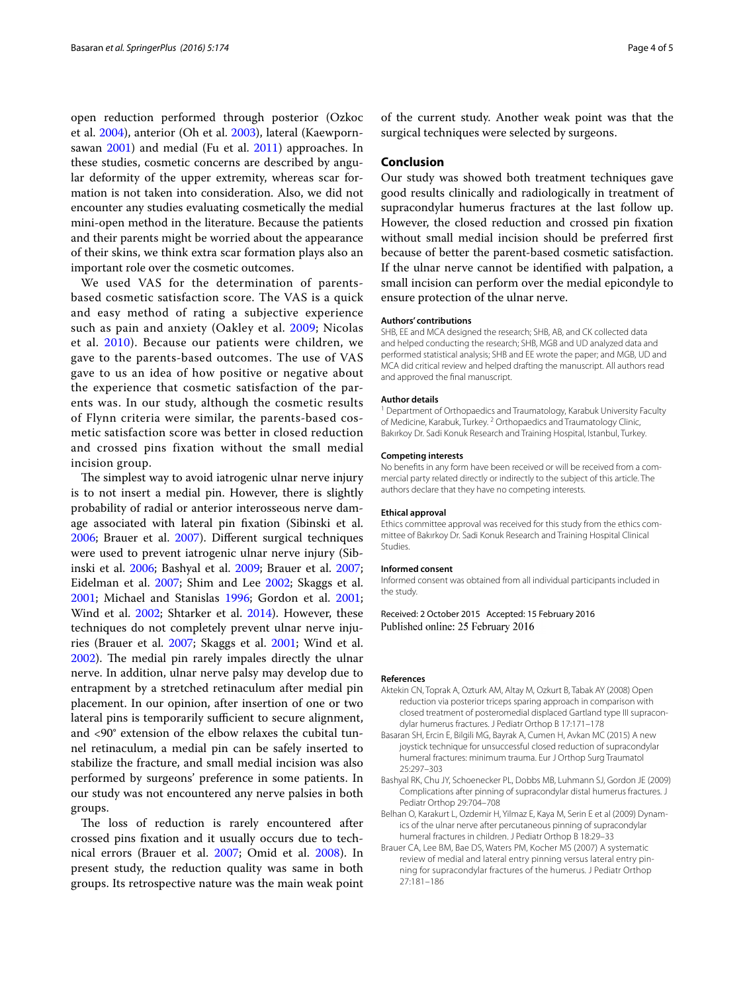open reduction performed through posterior (Ozkoc et al. [2004](#page-4-16)), anterior (Oh et al. [2003\)](#page-4-18), lateral (Kaewporn-sawan [2001](#page-4-3)) and medial (Fu et al. [2011\)](#page-4-17) approaches. In these studies, cosmetic concerns are described by angular deformity of the upper extremity, whereas scar formation is not taken into consideration. Also, we did not encounter any studies evaluating cosmetically the medial mini-open method in the literature. Because the patients and their parents might be worried about the appearance of their skins, we think extra scar formation plays also an important role over the cosmetic outcomes.

We used VAS for the determination of parentsbased cosmetic satisfaction score. The VAS is a quick and easy method of rating a subjective experience such as pain and anxiety (Oakley et al. [2009](#page-4-21); Nicolas et al. [2010](#page-4-22)). Because our patients were children, we gave to the parents-based outcomes. The use of VAS gave to us an idea of how positive or negative about the experience that cosmetic satisfaction of the parents was. In our study, although the cosmetic results of Flynn criteria were similar, the parents-based cosmetic satisfaction score was better in closed reduction and crossed pins fixation without the small medial incision group.

The simplest way to avoid iatrogenic ulnar nerve injury is to not insert a medial pin. However, there is slightly probability of radial or anterior interosseous nerve damage associated with lateral pin fixation (Sibinski et al. [2006](#page-4-1); Brauer et al. [2007\)](#page-3-2). Different surgical techniques were used to prevent iatrogenic ulnar nerve injury (Sibinski et al. [2006](#page-4-1); Bashyal et al. [2009;](#page-3-1) Brauer et al. [2007](#page-3-2); Eidelman et al. [2007;](#page-4-9) Shim and Lee [2002;](#page-4-10) Skaggs et al. [2001](#page-4-11); Michael and Stanislas [1996;](#page-4-12) Gordon et al. [2001](#page-4-23); Wind et al. [2002](#page-4-24); Shtarker et al. [2014](#page-4-25)). However, these techniques do not completely prevent ulnar nerve injuries (Brauer et al. [2007](#page-3-2); Skaggs et al. [2001;](#page-4-11) Wind et al. [2002](#page-4-24)). The medial pin rarely impales directly the ulnar nerve. In addition, ulnar nerve palsy may develop due to entrapment by a stretched retinaculum after medial pin placement. In our opinion, after insertion of one or two lateral pins is temporarily sufficient to secure alignment, and <90° extension of the elbow relaxes the cubital tunnel retinaculum, a medial pin can be safely inserted to stabilize the fracture, and small medial incision was also performed by surgeons' preference in some patients. In our study was not encountered any nerve palsies in both groups.

The loss of reduction is rarely encountered after crossed pins fixation and it usually occurs due to technical errors (Brauer et al. [2007](#page-3-2); Omid et al. [2008\)](#page-4-26). In present study, the reduction quality was same in both groups. Its retrospective nature was the main weak point of the current study. Another weak point was that the surgical techniques were selected by surgeons.

## **Conclusion**

Our study was showed both treatment techniques gave good results clinically and radiologically in treatment of supracondylar humerus fractures at the last follow up. However, the closed reduction and crossed pin fixation without small medial incision should be preferred first because of better the parent-based cosmetic satisfaction. If the ulnar nerve cannot be identified with palpation, a small incision can perform over the medial epicondyle to ensure protection of the ulnar nerve.

### **Authors' contributions**

SHB, EE and MCA designed the research; SHB, AB, and CK collected data and helped conducting the research; SHB, MGB and UD analyzed data and performed statistical analysis; SHB and EE wrote the paper; and MGB, UD and MCA did critical review and helped drafting the manuscript. All authors read and approved the final manuscript.

#### **Author details**

<sup>1</sup> Department of Orthopaedics and Traumatology, Karabuk University Faculty of Medicine, Karabuk, Turkey. 2 Orthopaedics and Traumatology Clinic, Bakırkoy Dr. Sadi Konuk Research and Training Hospital, Istanbul, Turkey.

#### **Competing interests**

No benefits in any form have been received or will be received from a commercial party related directly or indirectly to the subject of this article. The authors declare that they have no competing interests.

#### **Ethical approval**

Ethics committee approval was received for this study from the ethics committee of Bakırkoy Dr. Sadi Konuk Research and Training Hospital Clinical Studies.

#### **Informed consent**

Informed consent was obtained from all individual participants included in the study.

Received: 2 October 2015 Accepted: 15 February 2016 Published online: 25 February 2016

#### **References**

- <span id="page-3-3"></span>Aktekin CN, Toprak A, Ozturk AM, Altay M, Ozkurt B, Tabak AY (2008) Open reduction via posterior triceps sparing approach in comparison with closed treatment of posteromedial displaced Gartland type III supracondylar humerus fractures. J Pediatr Orthop B 17:171–178
- <span id="page-3-4"></span>Basaran SH, Ercin E, Bilgili MG, Bayrak A, Cumen H, Avkan MC (2015) A new joystick technique for unsuccessful closed reduction of supracondylar humeral fractures: minimum trauma. Eur J Orthop Surg Traumatol 25:297–303
- <span id="page-3-1"></span>Bashyal RK, Chu JY, Schoenecker PL, Dobbs MB, Luhmann SJ, Gordon JE (2009) Complications after pinning of supracondylar distal humerus fractures. J Pediatr Orthop 29:704–708
- <span id="page-3-0"></span>Belhan O, Karakurt L, Ozdemir H, Yilmaz E, Kaya M, Serin E et al (2009) Dynamics of the ulnar nerve after percutaneous pinning of supracondylar humeral fractures in children. J Pediatr Orthop B 18:29–33
- <span id="page-3-2"></span>Brauer CA, Lee BM, Bae DS, Waters PM, Kocher MS (2007) A systematic review of medial and lateral entry pinning versus lateral entry pinning for supracondylar fractures of the humerus. J Pediatr Orthop 27:181–186